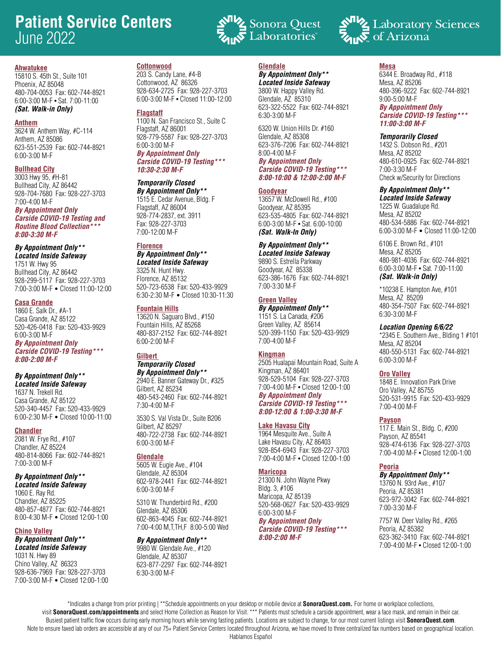# **Patient Service Centers** June 2022



15810 S. 45th St., Suite 101 Phoenix, AZ 85048 480-704-0053 Fax: 602-744-8921 6:00-3:00 M-F • Sat. 7:00-11:00 *(Sat. Walk-in Only)*

### **Anthem**

3624 W. Anthem Way, #C-114 Anthem, AZ 85086 623-551-2539 Fax: 602-744-8921 6:00-3:00 M-F

# **Bullhead City**

3003 Hwy 95, #H-81 Bullhead City, AZ 86442 928-704-7680 Fax: 928-227-3703 7:00-4:00 M-F

*By Appointment Only Carside COVID-19 Testing and Routine Blood Collection\*\*\* 8:00-3:30 M-F*

# *By Appointment Only\*\**

*Located Inside Safeway* 1751 W. Hwy 95 Bullhead City, AZ 86442 928-299-5117 Fax: 928-227-3703 7:00-3:00 M-F • Closed 11:00-12:00

# **Casa Grande**

1860 E. Salk Dr., #A-1 Casa Grande, AZ 85122 520-426-0418 Fax: 520-433-9929 6:00-3:00 M-F *By Appointment Only Carside COVID-19 Testing\*\*\* 8:00-2:00 M-F*

# *By Appointment Only\*\**

*Located Inside Safeway* 1637 N. Trekell Rd. Casa Grande, AZ 85122 520-340-4457 Fax: 520-433-9929 6:00-2:30 M-F • Closed 10:00-11:00

# **Chandler**

2081 W. Frye Rd., #107 Chandler, AZ 85224 480-814-8066 Fax: 602-744-8921 7:00-3:00 M-F

# *By Appointment Only\*\**

*Located Inside Safeway* 1060 E. Ray Rd. Chandler, AZ 85225 480-857-4877 Fax: 602-744-8921 8:00-4:30 M-F • Closed 12:00-1:00

#### **Chino Valley** *By Appointment Only\*\* Located Inside Safeway*

1031 N. Hwy 89 Chino Valley, AZ 86323 928-636-7969 Fax: 928-227-3703 7:00-3:00 M-F • Closed 12:00-1:00

# **Cottonwood**

203 S. Candy Lane, #4-B Cottonwood, AZ 86326 928-634-2725 Fax: 928-227-3703 6:00-3:00 M-F • Closed 11:00-12:00

### **Flagstaff**

1100 N. San Francisco St., Suite C Flagstaff, AZ 86001 928-779-5587 Fax: 928-227-3703 6:00-3:00 M-F *By Appointment Only*

*Carside COVID-19 Testing\*\*\* 10:30-2:30 M-F*

# *Temporarily Closed*

*By Appointment Only\*\** 1515 E. Cedar Avenue, Bldg. F Flagstaff, AZ 86004 928-774-2837, ext. 3911 Fax: 928-227-3703 7:00-12:00 M-F

# **Florence**

*By Appointment Only\*\* Located Inside Safeway* 3325 N. Hunt Hwy. Florence, AZ 85132 520-723-6538 Fax: 520-433-9929 6:30-2:30 M-F • Closed 10:30-11:30

#### **Fountain Hills**

13620 N. Saguaro Blvd., #150 Fountain Hills, AZ 85268 480-837-2152 Fax: 602-744-8921 6:00-2:00 M-F

# **Gilbert**

*Temporarily Closed By Appointment Only\*\** 2940 E. Banner Gateway Dr., #325 Gilbert, AZ 85234 480-543-2460 Fax: 602-744-8921 7:30-4:00 M-F

3530 S. Val Vista Dr., Suite B206 Gilbert, AZ 85297 480-722-2738 Fax: 602-744-8921 6:00-3:00 M-F

# **Glendale**

5605 W. Eugie Ave., #104 Glendale, AZ 85304 602-978-2441 Fax: 602-744-8921 6:00-3:00 M-F

5310 W. Thunderbird Rd., #200 Glendale, AZ 85306 602-863-4045 Fax: 602-744-8921 7:00-4:00 M,T,TH,F 8:00-5:00 Wed

# *By Appointment Only\*\**

9980 W. Glendale Ave., #120 Glendale, AZ 85307 623-877-2297 Fax: 602-744-8921 6:30-3:00 M-F

# **Glendale**

#### *By Appointment Only\*\* Located Inside Safeway*

Laboratories

3800 W. Happy Valley Rd. Glendale, AZ 85310 623-322-5522 Fax: 602-744-8921 6:30-3:00 M-F

6320 W. Union Hills Dr. #160 Glendale, AZ 85308 623-376-7206 Fax: 602-744-8921 8:00-4:00 M-F *By Appointment Only Carside COVID-19 Testing\*\*\* 8:00-10:00 & 12:00-2:00 M-F*

# **Goodyear**

13657 W. McDowell Rd., #100 Goodyear, AZ 85395 623-535-4805 Fax: 602-744-8921 6:00-3:00 M-F • Sat. 6:00-10:00 *(Sat. Walk-In Only)*

# *By Appointment Only\*\**

*Located Inside Safeway* 9890 S. Estrella Parkway Goodyear, AZ 85338 623-386-1676 Fax: 602-744-8921 7:00-3:30 M-F

# **Green Valley**

*By Appointment Only\*\** 1151 S. La Canada, #206 Green Valley, AZ 85614 520-399-1150 Fax: 520-433-9929 7:00-4:00 M-F

# **Kingman**

2505 Hualapai Mountain Road, Suite A Kingman, AZ 86401 928-529-5104 Fax: 928-227-3703 7:00-4:00 M-F • Closed 12:00-1:00 *By Appointment Only Carside COVID-19 Testing\*\*\* 8:00-12:00 & 1:00-3:30 M-F*

### **Lake Havasu City**

1964 Mesquite Ave., Suite A Lake Havasu City, AZ 86403 928-854-6943 Fax: 928-227-3703 7:00-4:00 M-F • Closed 12:00-1:00

# **Maricopa**

21300 N. John Wayne Pkwy Bldg. 3, #106 Maricopa, AZ 85139 520-568-0627 Fax: 520-433-9929 6:00-3:00 M-F *By Appointment Only Carside COVID-19 Testing\*\*\**

# *8:00-2:00 M-F*

# **Mesa**

6344 E. Broadway Rd., #118 Mesa, AZ 85206 480-396-9222 Fax: 602-744-8921 9:00-5:00 M-F *By Appointment Only Carside COVID-19 Testing\*\*\* 11:00-3:00 M-F*

#### *Temporarily Closed*

1432 S. Dobson Rd., #201 Mesa, AZ 85202 480-610-0925 Fax: 602-744-8921 7:00-3:30 M-F Check w/Security for Directions

# *By Appointment Only\*\**

*Located Inside Safeway* 1225 W. Guadalupe Rd. Mesa, AZ 85202 480-534-5886 Fax: 602-744-8921 6:00-3:00 M-F • Closed 11:00-12:00

6106 E. Brown Rd., #101 Mesa, AZ 85205 480-981-4036 Fax: 602-744-8921 6:00-3:00 M-F • Sat. 7:00-11:00 *(Sat. Walk-in Only)*

\*10238 E. Hampton Ave, #101 Mesa, AZ 85209 480-354-7507 Fax: 602-744-8921 6:30-3:00 M-F

#### *Location Opening 6/6/22*

\*2345 E. Southern Ave., Blding 1 #101 Mesa, AZ 85204 480-550-5131 Fax: 602-744-8921 6:00-3:00 M-F

# **Oro Valley**

1848 E. Innovation Park Drive Oro Valley, AZ 85755 520-531-9915 Fax: 520-433-9929 7:00-4:00 M-F

#### **Payson**

117 E. Main St., Bldg. C, #200 Payson, AZ 85541 928-474-6136 Fax: 928-227-3703 7:00-4:00 M-F • Closed 12:00-1:00

# **Peoria**

# *By Appointment Only\*\**

13760 N. 93rd Ave., #107 Peoria, AZ 85381 623-972-3042 Fax: 602-744-8921 7:00-3:30 M-F

7757 W. Deer Valley Rd., #265 Peoria, AZ 85382 623-362-3410 Fax: 602-744-8921 7:00-4:00 M-F • Closed 12:00-1:00

\*Indicates a change from prior printing | \*\*Schedule appointments on your desktop or mobile device at **SonoraQuest.com.** For home or workplace collections, visit **SonoraQuest.com/appointments** and select Home Collection as Reason for Visit. \*\*\* Patients must schedule a carside appointment, wear a face mask, and remain in their car. Busiest patient traffic flow occurs during early morning hours while serving fasting patients. Locations are subject to change, for our most current listings visit **SonoraQuest.com**. Note to ensure faxed lab orders are accessible at any of our 75+ Patient Service Centers located throughout Arizona, we have moved to three centralized fax numbers based on geographical location.